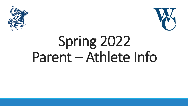



# Spring 2022 Parent – Athlete Info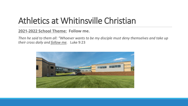#### Athletics at Whitinsville Christian

#### **2021-2022 School Theme: Follow me.**

*Then he said to them all: "Whoever wants to be my disciple must deny themselves and take up their cross daily and follow me.* Luke 9:23

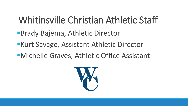#### Whitinsville Christian Athletic Staff

- Brady Bajema, Athletic Director
- **Kurt Savage, Assistant Athletic Director**
- Michelle Graves, Athletic Office Assistant

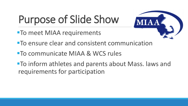## Purpose of Slide Show

**To meet MIAA requirements** 

- 
- To ensure clear and consistent communication
- To communicate MIAA & WCS rules
- To inform athletes and parents about Mass. laws and requirements for participation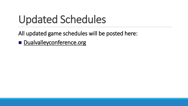## Updated Schedules

All updated game schedules will be posted here:

**Dualvalleyconference.org**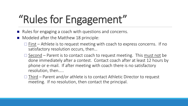## "Rules for Engagement"

- Rules for engaging a coach with questions and concerns.
- Modeled after the Matthew 18 principle:
	- $\Box$  First Athlete is to request meeting with coach to express concerns. If no satisfactory resolution occurs, then…
	- $\Box$  Second Parent is to contact coach to request meeting. This must not be done immediately after a contest. Contact coach after at least 12 hours by phone or e-mail. If after meeting with coach there is no satisfactory resolution, then…..
	- $\Box$  Third Parent and/or athlete is to contact Athletic Director to request meeting. If no resolution, then contact the principal.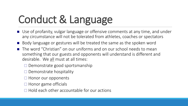## Conduct & Language

- Use of profanity, vulgar language or offensive comments at any time, and under any circumstance will not be tolerated from athletes, coaches or spectators
- Body language or gestures will be treated the same as the spoken word
- The word "Christian" on our uniforms and on our school needs to mean something that our guests and opponents will understand is different and desirable. We all must at all times:
	- $\Box$  Demonstrate good sportsmanship
	- $\Box$  Demonstrate hospitality
	- $\Box$  Honor our opponents
	- $\Box$  Honor game officials
	- $\Box$  Hold each other accountable for our actions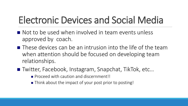#### Electronic Devices and Social Media

- $\blacksquare$  Not to be used when involved in team events unless approved by coach.
- $\blacksquare$  These devices can be an intrusion into the life of the team when attention should be focused on developing team relationships.
- Twitter, Facebook, Instagram, Snapchat, TikTok, etc...
	- **Proceed with caution and discernment!!**
	- Think about the impact of your post prior to posting!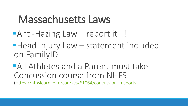### Massachusetts Laws

- **Anti-Hazing Law report it!!!**
- **Head Injury Law statement included** on FamilyID
- All Athletes and a Parent must take Concussion course from NHFS - [\(https://nfhslearn.com/courses/61064/concussion-in-sports](https://nfhslearn.com/courses/61064/concussion-in-sports))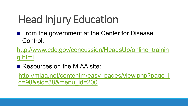## Head Injury Education

■ From the government at the Center for Disease Control:

[http://www.cdc.gov/concussion/HeadsUp/online\\_trainin](http://www.cdc.gov/concussion/HeadsUp/online_training.html) g.html

Resources on the MIAA site: [http://miaa.net/contentm/easy\\_pages/view.php?page\\_i](http://miaa.net/contentm/easy_pages/view.php?page_id=98&sid=38&menu_id=200) d=98&sid=38&menu\_id=200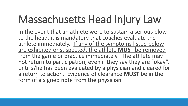## Massachusetts Head Injury Law

In the event that an athlete were to sustain a serious blow to the head, it is mandatory that coaches evaluate the athlete immediately. If any of the symptoms listed below are exhibited or suspected, the athlete **MUST** be removed from the game or practice immediately. The athlete may not return to participation, even if they say they are "okay", until s/he has been evaluated by a physician and cleared for a return to action. Evidence of clearance **MUST** be in the form of a signed note from the physician.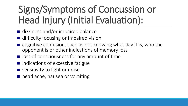### Signs/Symptoms of Concussion or Head Injury (Initial Evaluation):

- dizziness and/or impaired balance
- difficulty focusing or impaired vision
- cognitive confusion, such as not knowing what day it is, who the opponent is or other indications of memory loss
- $\blacksquare$  loss of consciousness for any amount of time
- $\blacksquare$  indications of excessive fatigue
- sensitivity to light or noise
- **head ache, nausea or vomiting**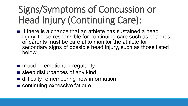### Signs/Symptoms of Concussion or Head Injury (Continuing Care):

- If there is a chance that an athlete has sustained a head injury, those responsible for continuing care such as coaches or parents must be careful to monitor the athlete for secondary signs of possible head injury, such as those listed below.
- mood or emotional irregularity
- sleep disturbances of any kind
- difficulty remembering new information
- continuing excessive fatique